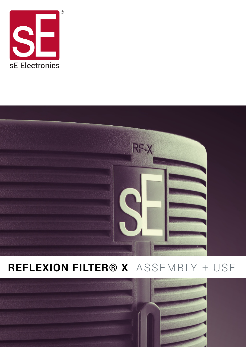



## **REFLEXION FILTER® X** ASSEMBLY + USE

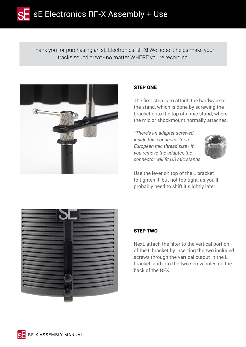Thank you for purchasing an sE Electronics RF-X! We hope it helps make your tracks sound great - no matter WHERE you're recording.



## STEP ONE

The first step is to attach the hardware to the stand, which is done by screwing the bracket onto the top of a mic stand, where the mic or shockmount normally attaches.

*\*There's an adapter screwed inside this connector for a European mic thread size - if you remove the adapter, the connector will fit US mic stands.*



Use the lever on top of the L bracket to tighten it, but not too tight, as you'll probably need to shift it slightly later.



## STEP TWO

Next, attach the filter to the vertical portion of the L bracket by inserting the two included screws through the vertical cutout in the L bracket, and into the two screw holes on the back of the RFX.